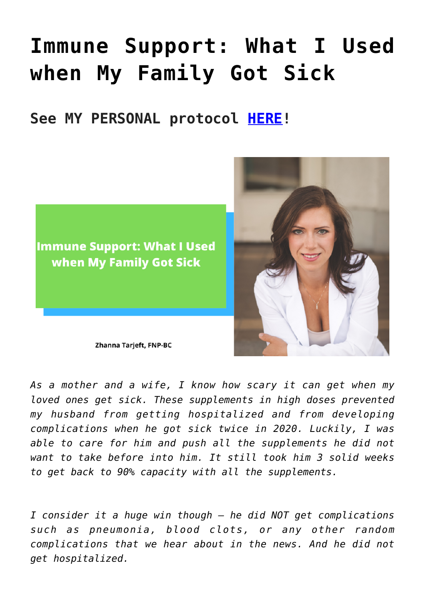## **[Immune Support: What I Used](https://sproutshealth.com/immune-support-what-i-used-when-my-family-got-sick/) [when My Family Got Sick](https://sproutshealth.com/immune-support-what-i-used-when-my-family-got-sick/)**

## **See MY PERSONAL protocol [HERE](https://us.fullscript.com/protocols/sproutshealth-immune-support-to-prevent-complications-and-hospitalizations)!**



Zhanna Tarjeft, FNP-BC

*As a mother and a wife, I know how scary it can get when my loved ones get sick. These supplements in high doses prevented my husband from getting hospitalized and from developing complications when he got sick twice in 2020. Luckily, I was able to care for him and push all the supplements he did not want to take before into him. It still took him 3 solid weeks to get back to 90% capacity with all the supplements.* 

*I consider it a huge win though – he did NOT get complications such as pneumonia, blood clots, or any other random complications that we hear about in the news. And he did not get hospitalized.*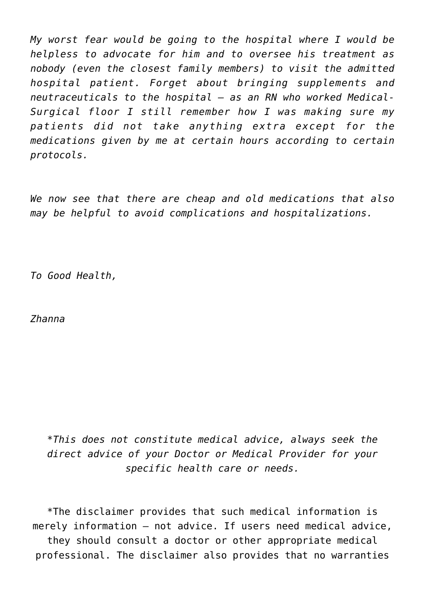*My worst fear would be going to the hospital where I would be helpless to advocate for him and to oversee his treatment as nobody (even the closest family members) to visit the admitted hospital patient. Forget about bringing supplements and neutraceuticals to the hospital – as an RN who worked Medical-Surgical floor I still remember how I was making sure my patients did not take anything extra except for the medications given by me at certain hours according to certain protocols.* 

*We now see that there are cheap and old medications that also may be helpful to avoid complications and hospitalizations.* 

*To Good Health,*

*Zhanna*

\**This does not constitute medical advice, always seek the direct advice of your Doctor or Medical Provider for your specific health care or needs.*

\*The disclaimer provides that such medical information is merely information – not advice. If users need medical advice, they should consult a doctor or other appropriate medical professional. The disclaimer also provides that no warranties